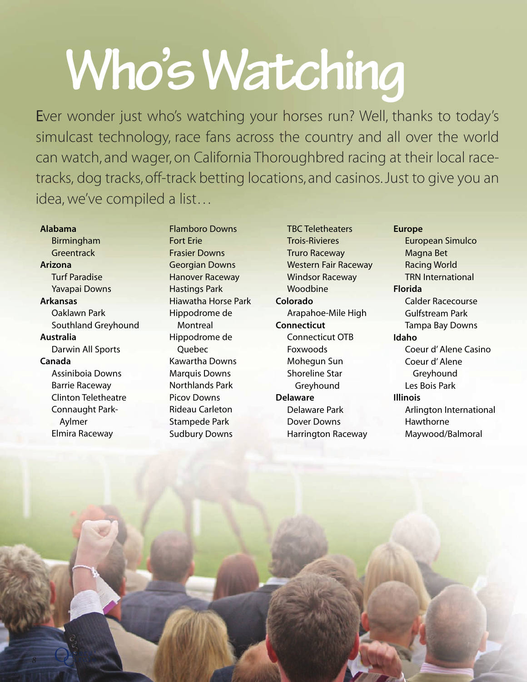## **Who's Watching**

Ever wonder just who's watching your horses run? Well, thanks to today's simulcast technology, race fans across the country and all over the world can watch, and wager, on California Thoroughbred racing at their local racetracks, dog tracks, off-track betting locations, and casinos. Just to give you an idea, we've compiled a list…

## **Alabama**

Birmingham **Greentrack Arizona** Turf Paradise

Yavapai Downs

## **Arkansas**

Oaklawn Park Southland Greyhound **Australia** Darwin All Sports **Canada**

Assiniboia Downs Barrie Raceway Clinton Teletheatre Connaught Park-Aylmer Elmira Raceway

 $\mathcal{C}^1$ 

Flamboro Downs Fort Erie Frasier Downs Georgian Downs Hanover Raceway Hastings Park Hiawatha Horse Park Hippodrome de **Montreal** Hippodrome de **Ouebec** Kawartha Downs Marquis Downs Northlands Park Picov Downs Rideau Carleton Stampede Park Sudbury Downs

TBC Teletheaters Trois-Rivieres Truro Raceway Western Fair Raceway Windsor Raceway Woodbine **Colorado** Arapahoe-Mile High **Connecticut** Connecticut OTB Foxwoods Mohegun Sun Shoreline Star **Greyhound Delaware** Delaware Park Dover Downs Harrington Raceway

**Europe** European Simulco Magna Bet Racing World TRN International **Florida** Calder Racecourse Gulfstream Park Tampa Bay Downs **Idaho** Coeur d' Alene Casino Coeur d' Alene Greyhound Les Bois Park **Illinois** Arlington International Hawthorne Maywood/Balmoral

**8** is a set of the parties of the parties of the parties of the parties of the parties of the parties of the parties of the parties of the parties of the parties of the parties of the parties of the parties of the parties